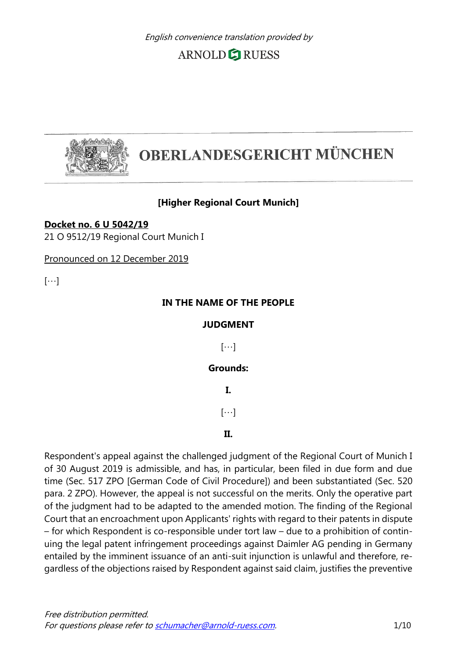

# **OBERLANDESGERICHT MÜNCHEN**

#### **[Higher Regional Court Munich]**

**Docket no. 6 U 5042/19** 21 O 9512/19 Regional Court Munich I

Pronounced on 12 December 2019

 $[\cdots]$ 

#### **IN THE NAME OF THE PEOPLE**

#### **JUDGMENT**

 $[\cdots]$ 

#### **Grounds:**

**I.**

 $[\cdots]$ 

#### **II.**

Respondent's appeal against the challenged judgment of the Regional Court of Munich I of 30 August 2019 is admissible, and has, in particular, been filed in due form and due time (Sec. 517 ZPO [German Code of Civil Procedure]) and been substantiated (Sec. 520 para. 2 ZPO). However, the appeal is not successful on the merits. Only the operative part of the judgment had to be adapted to the amended motion. The finding of the Regional Court that an encroachment upon Applicants' rights with regard to their patents in dispute – for which Respondent is co-responsible under tort law – due to a prohibition of continuing the legal patent infringement proceedings against Daimler AG pending in Germany entailed by the imminent issuance of an anti-suit injunction is unlawful and therefore, regardless of the objections raised by Respondent against said claim, justifies the preventive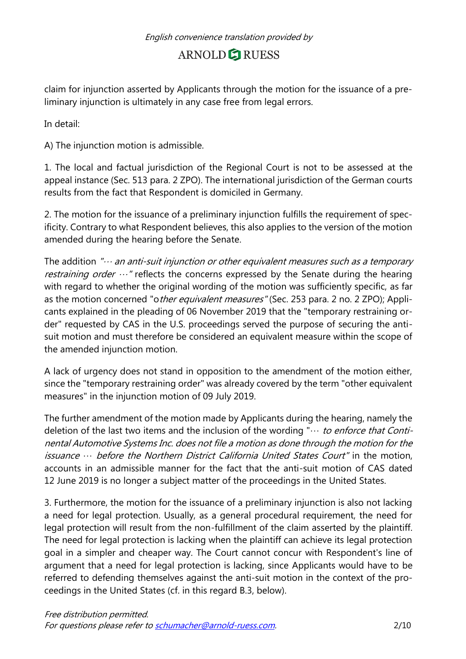claim for injunction asserted by Applicants through the motion for the issuance of a preliminary injunction is ultimately in any case free from legal errors.

In detail:

A) The injunction motion is admissible.

1. The local and factual jurisdiction of the Regional Court is not to be assessed at the appeal instance (Sec. 513 para. 2 ZPO). The international jurisdiction of the German courts results from the fact that Respondent is domiciled in Germany.

2. The motion for the issuance of a preliminary injunction fulfills the requirement of specificity. Contrary to what Respondent believes, this also applies to the version of the motion amended during the hearing before the Senate.

The addition " $\cdots$  an anti-suit injunction or other equivalent measures such as a temporary *restraining order*  $\cdots$ " reflects the concerns expressed by the Senate during the hearing with regard to whether the original wording of the motion was sufficiently specific, as far as the motion concerned "other equivalent measures" (Sec. 253 para. 2 no. 2 ZPO); Applicants explained in the pleading of 06 November 2019 that the "temporary restraining order" requested by CAS in the U.S. proceedings served the purpose of securing the antisuit motion and must therefore be considered an equivalent measure within the scope of the amended injunction motion.

A lack of urgency does not stand in opposition to the amendment of the motion either, since the "temporary restraining order" was already covered by the term "other equivalent measures" in the injunction motion of 09 July 2019.

The further amendment of the motion made by Applicants during the hearing, namely the deletion of the last two items and the inclusion of the wording " $\cdots$  to enforce that Continental Automotive Systems Inc. does not file a motion as done through the motion for the issuance … before the Northern District California United States Court" in the motion, accounts in an admissible manner for the fact that the anti-suit motion of CAS dated 12 June 2019 is no longer a subject matter of the proceedings in the United States.

3. Furthermore, the motion for the issuance of a preliminary injunction is also not lacking a need for legal protection. Usually, as a general procedural requirement, the need for legal protection will result from the non-fulfillment of the claim asserted by the plaintiff. The need for legal protection is lacking when the plaintiff can achieve its legal protection goal in a simpler and cheaper way. The Court cannot concur with Respondent's line of argument that a need for legal protection is lacking, since Applicants would have to be referred to defending themselves against the anti-suit motion in the context of the proceedings in the United States (cf. in this regard B.3, below).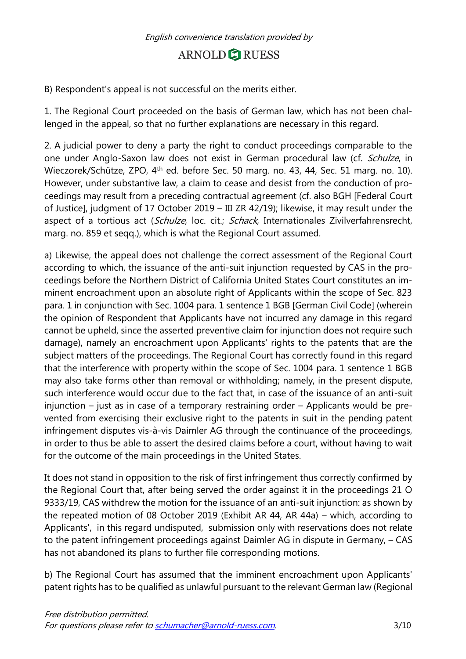B) Respondent's appeal is not successful on the merits either.

1. The Regional Court proceeded on the basis of German law, which has not been challenged in the appeal, so that no further explanations are necessary in this regard.

2. A judicial power to deny a party the right to conduct proceedings comparable to the one under Anglo-Saxon law does not exist in German procedural law (cf. Schulze, in Wieczorek/Schütze, ZPO, 4th ed. before Sec. 50 marg. no. 43, 44, Sec. 51 marg. no. 10). However, under substantive law, a claim to cease and desist from the conduction of proceedings may result from a preceding contractual agreement (cf. also BGH [Federal Court of Justice], judgment of 17 October 2019 – III ZR 42/19); likewise, it may result under the aspect of a tortious act (Schulze, loc. cit.; Schack, Internationales Zivilverfahrensrecht, marg. no. 859 et seqq.), which is what the Regional Court assumed.

a) Likewise, the appeal does not challenge the correct assessment of the Regional Court according to which, the issuance of the anti-suit injunction requested by CAS in the proceedings before the Northern District of California United States Court constitutes an imminent encroachment upon an absolute right of Applicants within the scope of Sec. 823 para. 1 in conjunction with Sec. 1004 para. 1 sentence 1 BGB [German Civil Code] (wherein the opinion of Respondent that Applicants have not incurred any damage in this regard cannot be upheld, since the asserted preventive claim for injunction does not require such damage), namely an encroachment upon Applicants' rights to the patents that are the subject matters of the proceedings. The Regional Court has correctly found in this regard that the interference with property within the scope of Sec. 1004 para. 1 sentence 1 BGB may also take forms other than removal or withholding; namely, in the present dispute, such interference would occur due to the fact that, in case of the issuance of an anti-suit injunction – just as in case of a temporary restraining order – Applicants would be prevented from exercising their exclusive right to the patents in suit in the pending patent infringement disputes vis-à-vis Daimler AG through the continuance of the proceedings, in order to thus be able to assert the desired claims before a court, without having to wait for the outcome of the main proceedings in the United States.

It does not stand in opposition to the risk of first infringement thus correctly confirmed by the Regional Court that, after being served the order against it in the proceedings 21 O 9333/19, CAS withdrew the motion for the issuance of an anti-suit injunction: as shown by the repeated motion of 08 October 2019 (Exhibit AR 44, AR 44a) – which, according to Applicants', in this regard undisputed, submission only with reservations does not relate to the patent infringement proceedings against Daimler AG in dispute in Germany, – CAS has not abandoned its plans to further file corresponding motions.

b) The Regional Court has assumed that the imminent encroachment upon Applicants' patent rights has to be qualified as unlawful pursuant to the relevant German law (Regional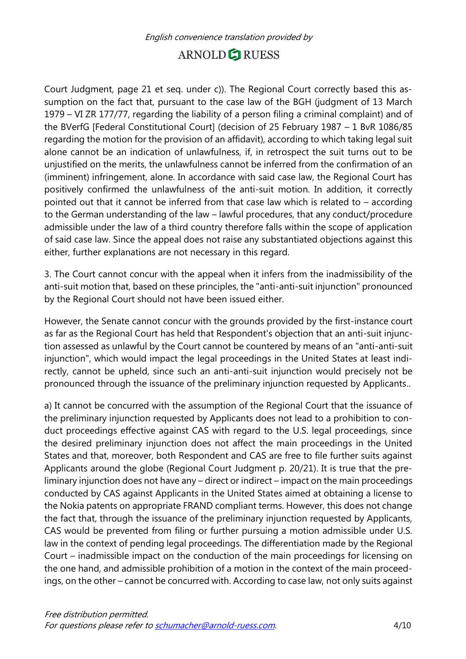Court Judgment, page 21 et seq. under c)). The Regional Court correctly based this assumption on the fact that, pursuant to the case law of the BGH (judgment of 13 March 1979 – VI ZR 177/77, regarding the liability of a person filing a criminal complaint) and of the BVerfG [Federal Constitutional Court] (decision of 25 February 1987 – 1 BvR 1086/85 regarding the motion for the provision of an affidavit), according to which taking legal suit alone cannot be an indication of unlawfulness, if, in retrospect the suit turns out to be unjustified on the merits, the unlawfulness cannot be inferred from the confirmation of an (imminent) infringement, alone. In accordance with said case law, the Regional Court has positively confirmed the unlawfulness of the anti-suit motion. In addition, it correctly pointed out that it cannot be inferred from that case law which is related to – according to the German understanding of the law – lawful procedures, that any conduct/procedure admissible under the law of a third country therefore falls within the scope of application of said case law. Since the appeal does not raise any substantiated objections against this either, further explanations are not necessary in this regard.

3. The Court cannot concur with the appeal when it infers from the inadmissibility of the anti-suit motion that, based on these principles, the "anti-anti-suit injunction" pronounced by the Regional Court should not have been issued either.

However, the Senate cannot concur with the grounds provided by the first-instance court as far as the Regional Court has held that Respondent's objection that an anti-suit injunction assessed as unlawful by the Court cannot be countered by means of an "anti-anti-suit injunction", which would impact the legal proceedings in the United States at least indirectly, cannot be upheld, since such an anti-anti-suit injunction would precisely not be pronounced through the issuance of the preliminary injunction requested by Applicants..

a) It cannot be concurred with the assumption of the Regional Court that the issuance of the preliminary injunction requested by Applicants does not lead to a prohibition to conduct proceedings effective against CAS with regard to the U.S. legal proceedings, since the desired preliminary injunction does not affect the main proceedings in the United States and that, moreover, both Respondent and CAS are free to file further suits against Applicants around the globe (Regional Court Judgment p. 20/21). It is true that the preliminary injunction does not have any – direct or indirect – impact on the main proceedings conducted by CAS against Applicants in the United States aimed at obtaining a license to the Nokia patents on appropriate FRAND compliant terms. However, this does not change the fact that, through the issuance of the preliminary injunction requested by Applicants, CAS would be prevented from filing or further pursuing a motion admissible under U.S. law in the context of pending legal proceedings. The differentiation made by the Regional Court – inadmissible impact on the conduction of the main proceedings for licensing on the one hand, and admissible prohibition of a motion in the context of the main proceedings, on the other – cannot be concurred with. According to case law, not only suits against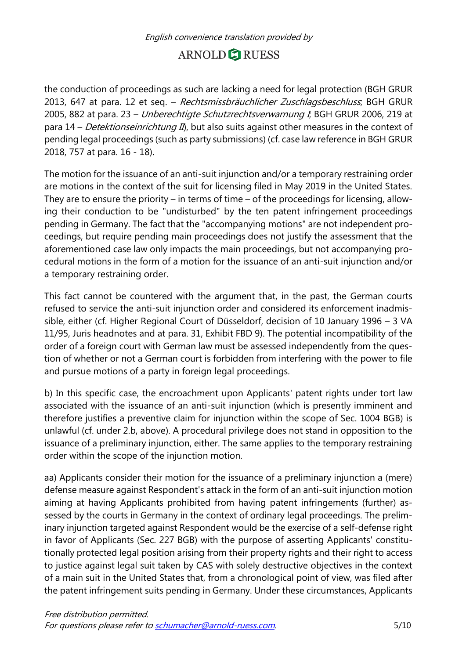the conduction of proceedings as such are lacking a need for legal protection (BGH GRUR 2013, 647 at para. 12 et seq. - Rechtsmissbräuchlicher Zuschlagsbeschluss, BGH GRUR 2005, 882 at para. 23 - Unberechtigte Schutzrechtsverwarnung I, BGH GRUR 2006, 219 at para  $14$  – *Detektionseinrichtung II*), but also suits against other measures in the context of pending legal proceedings (such as party submissions) (cf. case law reference in BGH GRUR 2018, 757 at para. 16 - 18).

The motion for the issuance of an anti-suit injunction and/or a temporary restraining order are motions in the context of the suit for licensing filed in May 2019 in the United States. They are to ensure the priority – in terms of time – of the proceedings for licensing, allowing their conduction to be "undisturbed" by the ten patent infringement proceedings pending in Germany. The fact that the "accompanying motions" are not independent proceedings, but require pending main proceedings does not justify the assessment that the aforementioned case law only impacts the main proceedings, but not accompanying procedural motions in the form of a motion for the issuance of an anti-suit injunction and/or a temporary restraining order.

This fact cannot be countered with the argument that, in the past, the German courts refused to service the anti-suit injunction order and considered its enforcement inadmissible, either (cf. Higher Regional Court of Düsseldorf, decision of 10 January 1996 – 3 VA 11/95, Juris headnotes and at para. 31, Exhibit FBD 9). The potential incompatibility of the order of a foreign court with German law must be assessed independently from the question of whether or not a German court is forbidden from interfering with the power to file and pursue motions of a party in foreign legal proceedings.

b) In this specific case, the encroachment upon Applicants' patent rights under tort law associated with the issuance of an anti-suit injunction (which is presently imminent and therefore justifies a preventive claim for injunction within the scope of Sec. 1004 BGB) is unlawful (cf. under 2.b, above). A procedural privilege does not stand in opposition to the issuance of a preliminary injunction, either. The same applies to the temporary restraining order within the scope of the injunction motion.

aa) Applicants consider their motion for the issuance of a preliminary injunction a (mere) defense measure against Respondent's attack in the form of an anti-suit injunction motion aiming at having Applicants prohibited from having patent infringements (further) assessed by the courts in Germany in the context of ordinary legal proceedings. The preliminary injunction targeted against Respondent would be the exercise of a self-defense right in favor of Applicants (Sec. 227 BGB) with the purpose of asserting Applicants' constitutionally protected legal position arising from their property rights and their right to access to justice against legal suit taken by CAS with solely destructive objectives in the context of a main suit in the United States that, from a chronological point of view, was filed after the patent infringement suits pending in Germany. Under these circumstances, Applicants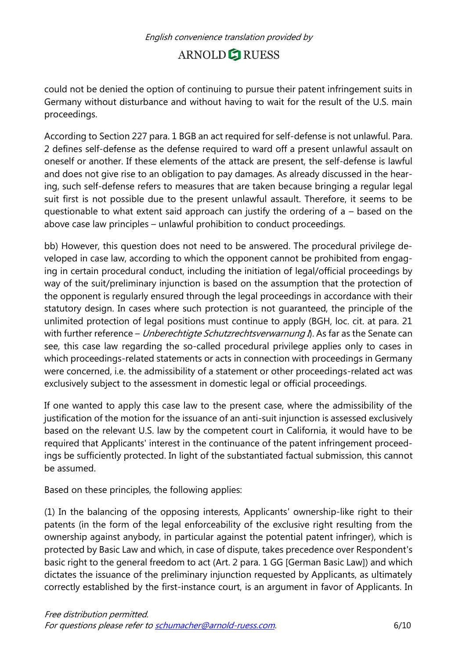could not be denied the option of continuing to pursue their patent infringement suits in Germany without disturbance and without having to wait for the result of the U.S. main proceedings.

According to Section 227 para. 1 BGB an act required for self-defense is not unlawful. Para. 2 defines self-defense as the defense required to ward off a present unlawful assault on oneself or another. If these elements of the attack are present, the self-defense is lawful and does not give rise to an obligation to pay damages. As already discussed in the hearing, such self-defense refers to measures that are taken because bringing a regular legal suit first is not possible due to the present unlawful assault. Therefore, it seems to be questionable to what extent said approach can justify the ordering of a – based on the above case law principles – unlawful prohibition to conduct proceedings.

bb) However, this question does not need to be answered. The procedural privilege developed in case law, according to which the opponent cannot be prohibited from engaging in certain procedural conduct, including the initiation of legal/official proceedings by way of the suit/preliminary injunction is based on the assumption that the protection of the opponent is regularly ensured through the legal proceedings in accordance with their statutory design. In cases where such protection is not guaranteed, the principle of the unlimited protection of legal positions must continue to apply (BGH, loc. cit. at para. 21 with further reference – Unberechtigte Schutzrechtsverwarnung  $\tilde{\eta}$ . As far as the Senate can see, this case law regarding the so-called procedural privilege applies only to cases in which proceedings-related statements or acts in connection with proceedings in Germany were concerned, i.e. the admissibility of a statement or other proceedings-related act was exclusively subject to the assessment in domestic legal or official proceedings.

If one wanted to apply this case law to the present case, where the admissibility of the justification of the motion for the issuance of an anti-suit injunction is assessed exclusively based on the relevant U.S. law by the competent court in California, it would have to be required that Applicants' interest in the continuance of the patent infringement proceedings be sufficiently protected. In light of the substantiated factual submission, this cannot be assumed.

Based on these principles, the following applies:

(1) In the balancing of the opposing interests, Applicants' ownership-like right to their patents (in the form of the legal enforceability of the exclusive right resulting from the ownership against anybody, in particular against the potential patent infringer), which is protected by Basic Law and which, in case of dispute, takes precedence over Respondent's basic right to the general freedom to act (Art. 2 para. 1 GG [German Basic Law]) and which dictates the issuance of the preliminary injunction requested by Applicants, as ultimately correctly established by the first-instance court, is an argument in favor of Applicants. In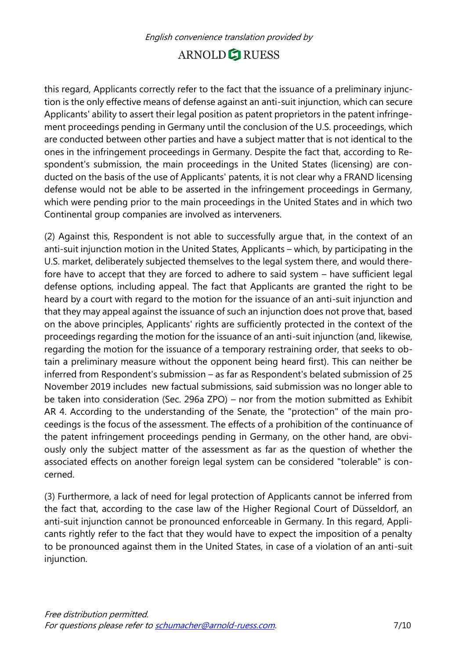this regard, Applicants correctly refer to the fact that the issuance of a preliminary injunction is the only effective means of defense against an anti-suit injunction, which can secure Applicants' ability to assert their legal position as patent proprietors in the patent infringement proceedings pending in Germany until the conclusion of the U.S. proceedings, which are conducted between other parties and have a subject matter that is not identical to the ones in the infringement proceedings in Germany. Despite the fact that, according to Respondent's submission, the main proceedings in the United States (licensing) are conducted on the basis of the use of Applicants' patents, it is not clear why a FRAND licensing defense would not be able to be asserted in the infringement proceedings in Germany, which were pending prior to the main proceedings in the United States and in which two Continental group companies are involved as interveners.

(2) Against this, Respondent is not able to successfully argue that, in the context of an anti-suit injunction motion in the United States, Applicants – which, by participating in the U.S. market, deliberately subjected themselves to the legal system there, and would therefore have to accept that they are forced to adhere to said system – have sufficient legal defense options, including appeal. The fact that Applicants are granted the right to be heard by a court with regard to the motion for the issuance of an anti-suit injunction and that they may appeal against the issuance of such an injunction does not prove that, based on the above principles, Applicants' rights are sufficiently protected in the context of the proceedings regarding the motion for the issuance of an anti-suit injunction (and, likewise, regarding the motion for the issuance of a temporary restraining order, that seeks to obtain a preliminary measure without the opponent being heard first). This can neither be inferred from Respondent's submission – as far as Respondent's belated submission of 25 November 2019 includes new factual submissions, said submission was no longer able to be taken into consideration (Sec. 296a ZPO) – nor from the motion submitted as Exhibit AR 4. According to the understanding of the Senate, the "protection" of the main proceedings is the focus of the assessment. The effects of a prohibition of the continuance of the patent infringement proceedings pending in Germany, on the other hand, are obviously only the subject matter of the assessment as far as the question of whether the associated effects on another foreign legal system can be considered "tolerable" is concerned.

(3) Furthermore, a lack of need for legal protection of Applicants cannot be inferred from the fact that, according to the case law of the Higher Regional Court of Düsseldorf, an anti-suit injunction cannot be pronounced enforceable in Germany. In this regard, Applicants rightly refer to the fact that they would have to expect the imposition of a penalty to be pronounced against them in the United States, in case of a violation of an anti-suit injunction.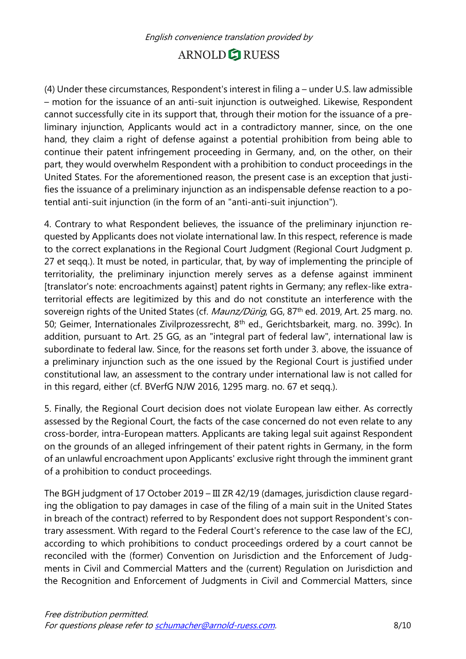(4) Under these circumstances, Respondent's interest in filing a – under U.S. law admissible – motion for the issuance of an anti-suit injunction is outweighed. Likewise, Respondent cannot successfully cite in its support that, through their motion for the issuance of a preliminary injunction, Applicants would act in a contradictory manner, since, on the one hand, they claim a right of defense against a potential prohibition from being able to continue their patent infringement proceeding in Germany, and, on the other, on their part, they would overwhelm Respondent with a prohibition to conduct proceedings in the United States. For the aforementioned reason, the present case is an exception that justifies the issuance of a preliminary injunction as an indispensable defense reaction to a potential anti-suit injunction (in the form of an "anti-anti-suit injunction").

4. Contrary to what Respondent believes, the issuance of the preliminary injunction requested by Applicants does not violate international law. In this respect, reference is made to the correct explanations in the Regional Court Judgment (Regional Court Judgment p. 27 et seqq.). It must be noted, in particular, that, by way of implementing the principle of territoriality, the preliminary injunction merely serves as a defense against imminent [translator's note: encroachments against] patent rights in Germany; any reflex-like extraterritorial effects are legitimized by this and do not constitute an interference with the sovereign rights of the United States (cf. *Maunz/Dürig*, GG, 87<sup>th</sup> ed. 2019, Art. 25 marg. no. 50; Geimer, Internationales Zivilprozessrecht, 8<sup>th</sup> ed., Gerichtsbarkeit, marg. no. 399c). In addition, pursuant to Art. 25 GG, as an "integral part of federal law", international law is subordinate to federal law. Since, for the reasons set forth under 3. above, the issuance of a preliminary injunction such as the one issued by the Regional Court is justified under constitutional law, an assessment to the contrary under international law is not called for in this regard, either (cf. BVerfG NJW 2016, 1295 marg. no. 67 et seqq.).

5. Finally, the Regional Court decision does not violate European law either. As correctly assessed by the Regional Court, the facts of the case concerned do not even relate to any cross-border, intra-European matters. Applicants are taking legal suit against Respondent on the grounds of an alleged infringement of their patent rights in Germany, in the form of an unlawful encroachment upon Applicants' exclusive right through the imminent grant of a prohibition to conduct proceedings.

The BGH judgment of 17 October 2019 – III ZR 42/19 (damages, jurisdiction clause regarding the obligation to pay damages in case of the filing of a main suit in the United States in breach of the contract) referred to by Respondent does not support Respondent's contrary assessment. With regard to the Federal Court's reference to the case law of the ECJ, according to which prohibitions to conduct proceedings ordered by a court cannot be reconciled with the (former) Convention on Jurisdiction and the Enforcement of Judgments in Civil and Commercial Matters and the (current) Regulation on Jurisdiction and the Recognition and Enforcement of Judgments in Civil and Commercial Matters, since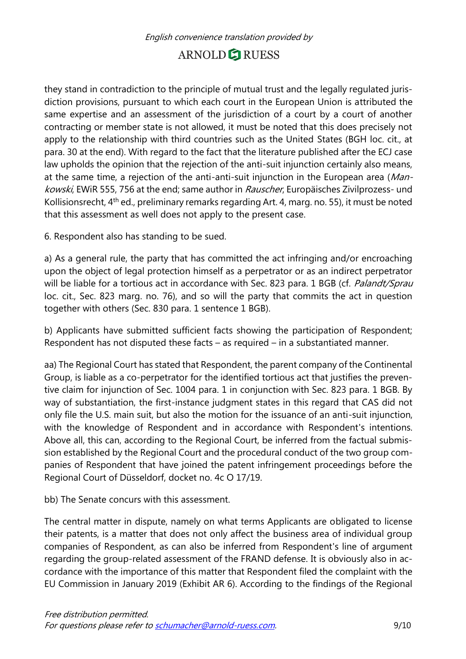they stand in contradiction to the principle of mutual trust and the legally regulated jurisdiction provisions, pursuant to which each court in the European Union is attributed the same expertise and an assessment of the jurisdiction of a court by a court of another contracting or member state is not allowed, it must be noted that this does precisely not apply to the relationship with third countries such as the United States (BGH loc. cit., at para. 30 at the end). With regard to the fact that the literature published after the ECJ case law upholds the opinion that the rejection of the anti-suit injunction certainly also means, at the same time, a rejection of the anti-anti-suit injunction in the European area (Mankowski, EWiR 555, 756 at the end; same author in Rauscher, Europäisches Zivilprozess- und Kollisionsrecht, 4th ed., preliminary remarks regarding Art. 4, marg. no. 55), it must be noted that this assessment as well does not apply to the present case.

6. Respondent also has standing to be sued.

a) As a general rule, the party that has committed the act infringing and/or encroaching upon the object of legal protection himself as a perpetrator or as an indirect perpetrator will be liable for a tortious act in accordance with Sec. 823 para. 1 BGB (cf. Palandt/Sprau loc. cit., Sec. 823 marg. no. 76), and so will the party that commits the act in question together with others (Sec. 830 para. 1 sentence 1 BGB).

b) Applicants have submitted sufficient facts showing the participation of Respondent; Respondent has not disputed these facts – as required – in a substantiated manner.

aa) The Regional Court has stated that Respondent, the parent company of the Continental Group, is liable as a co-perpetrator for the identified tortious act that justifies the preventive claim for injunction of Sec. 1004 para. 1 in conjunction with Sec. 823 para. 1 BGB. By way of substantiation, the first-instance judgment states in this regard that CAS did not only file the U.S. main suit, but also the motion for the issuance of an anti-suit injunction, with the knowledge of Respondent and in accordance with Respondent's intentions. Above all, this can, according to the Regional Court, be inferred from the factual submission established by the Regional Court and the procedural conduct of the two group companies of Respondent that have joined the patent infringement proceedings before the Regional Court of Düsseldorf, docket no. 4c O 17/19.

bb) The Senate concurs with this assessment.

The central matter in dispute, namely on what terms Applicants are obligated to license their patents, is a matter that does not only affect the business area of individual group companies of Respondent, as can also be inferred from Respondent's line of argument regarding the group-related assessment of the FRAND defense. It is obviously also in accordance with the importance of this matter that Respondent filed the complaint with the EU Commission in January 2019 (Exhibit AR 6). According to the findings of the Regional